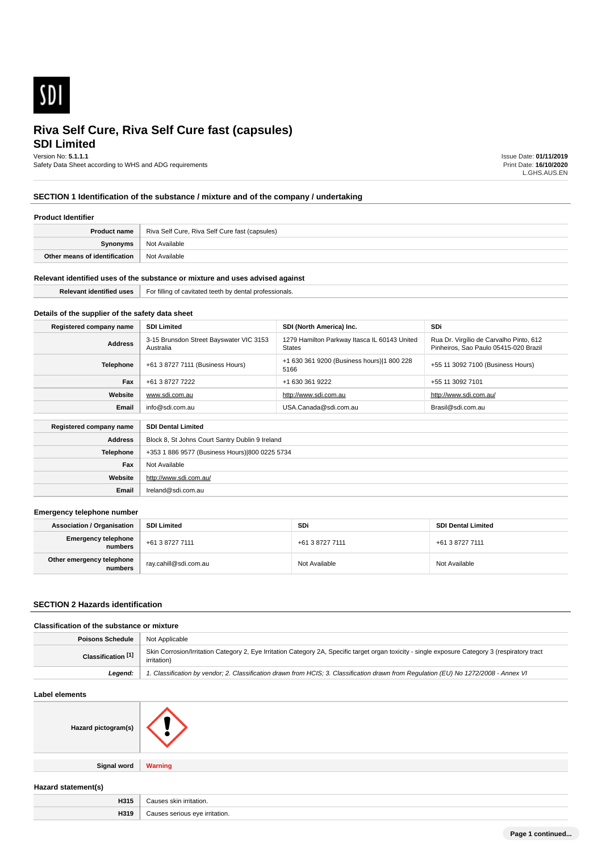

# **SDI Limited**

Version No: **5.1.1.1**

Safety Data Sheet according to WHS and ADG requirements

Issue Date: **01/11/2019** Print Date: **16/10/2020** L.GHS.AUS.EN

## **SECTION 1 Identification of the substance / mixture and of the company / undertaking**

### **Product Identifier**

| <b>Product name</b>           | Riva Self Cure, Riva Self Cure fast (capsules) |
|-------------------------------|------------------------------------------------|
| Synonyms                      | Not Available                                  |
| Other means of identification | Not Available                                  |

### **Relevant identified uses of the substance or mixture and uses advised against**

| Dal. | $\cdots$<br>For filling<br>r cavitated teeth.<br>rotess<br>onais<br>denta. |
|------|----------------------------------------------------------------------------|
|      |                                                                            |

## **Details of the supplier of the safety data sheet**

**Website**

**Email** Ireland@sdi.com.au

http://www.sdi.com.au/

| Registered company name | <b>SDI Limited</b>                                   | SDI (North America) Inc.                                      | <b>SDi</b>                                                                       |
|-------------------------|------------------------------------------------------|---------------------------------------------------------------|----------------------------------------------------------------------------------|
| <b>Address</b>          | 3-15 Brunsdon Street Bayswater VIC 3153<br>Australia | 1279 Hamilton Parkway Itasca IL 60143 United<br><b>States</b> | Rua Dr. Virgílio de Carvalho Pinto, 612<br>Pinheiros, Sao Paulo 05415-020 Brazil |
| <b>Telephone</b>        | +61 3 8727 7111 (Business Hours)                     | +1 630 361 9200 (Business hours) 1 800 228<br>5166            | +55 11 3092 7100 (Business Hours)                                                |
| Fax                     | +61 3 8727 7222                                      | +1 630 361 9222                                               | +55 11 3092 7101                                                                 |
| Website                 | www.sdi.com.au                                       | http://www.sdi.com.au                                         | http://www.sdi.com.au/                                                           |
| Email                   | info@sdi.com.au                                      | USA.Canada@sdi.com.au                                         | Brasil@sdi.com.au                                                                |
| Registered company name | <b>SDI Dental Limited</b>                            |                                                               |                                                                                  |
| <b>Address</b>          | Block 8, St Johns Court Santry Dublin 9 Ireland      |                                                               |                                                                                  |
| <b>Telephone</b>        | +353 1 886 9577 (Business Hours) 800 0225 5734       |                                                               |                                                                                  |
| Fax                     | Not Available                                        |                                                               |                                                                                  |

### **Emergency telephone number**

| <b>Association / Organisation</b>     | <b>SDI Limited</b>    | SDi             | <b>SDI Dental Limited</b> |
|---------------------------------------|-----------------------|-----------------|---------------------------|
| Emergency telephone<br>numbers        | +61 3 8727 7111       | +61 3 8727 7111 | +61 3 8727 7111           |
| Other emergency telephone<br>numbers. | ray.cahill@sdi.com.au | Not Available   | Not Available             |

### **SECTION 2 Hazards identification**

### **Classification of the substance or mixture**

| <b>Poisons Schedule</b>   Not Applicable |                                                                                                                                                                 |
|------------------------------------------|-----------------------------------------------------------------------------------------------------------------------------------------------------------------|
| Classification <sup>[1]</sup>            | Skin Corrosion/Irritation Category 2, Eye Irritation Category 2A, Specific target organ toxicity - single exposure Category 3 (respiratory tract<br>irritation) |
| Leaend:                                  | 1. Classification by vendor; 2. Classification drawn from HCIS; 3. Classification drawn from Regulation (EU) No 1272/2008 - Annex VI                            |

### **Label elements**

| Hazard pictogram(s) |                |
|---------------------|----------------|
| <b>Signal word</b>  | <b>Warning</b> |

### **Hazard statement(s)**

| .<br>     |  |
|-----------|--|
| .<br><br> |  |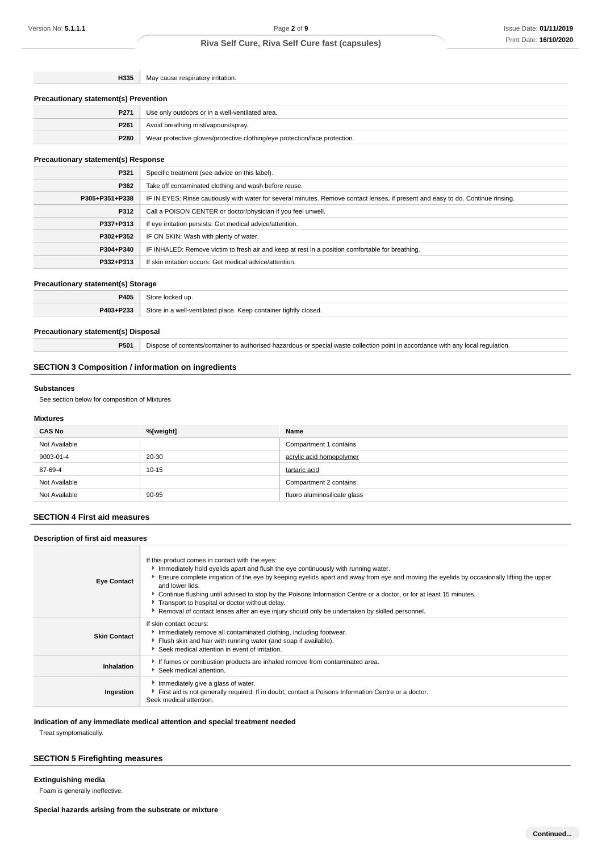**H335** May cause respiratory irritation.

#### **Precautionary statement(s) Prevention**

| P271 | Use only outdoors or in a well-ventilated area.                            |
|------|----------------------------------------------------------------------------|
| P261 | Avoid breathing mist/vapours/spray.                                        |
| P280 | Wear protective gloves/protective clothing/eye protection/face protection. |

### **Precautionary statement(s) Response**

| P321           | Specific treatment (see advice on this label).                                                                                   |
|----------------|----------------------------------------------------------------------------------------------------------------------------------|
| P362           | Take off contaminated clothing and wash before reuse.                                                                            |
| P305+P351+P338 | IF IN EYES: Rinse cautiously with water for several minutes. Remove contact lenses, if present and easy to do. Continue rinsing. |
| P312           | Call a POISON CENTER or doctor/physician if you feel unwell.                                                                     |
| P337+P313      | If eye irritation persists: Get medical advice/attention.                                                                        |
| P302+P352      | IF ON SKIN: Wash with plenty of water.                                                                                           |
| P304+P340      | IF INHALED: Remove victim to fresh air and keep at rest in a position comfortable for breathing.                                 |
| P332+P313      | If skin irritation occurs: Get medical advice/attention.                                                                         |

### **Precautionary statement(s) Storage**

|                                                                                                    | <b>DANE</b> |  |
|----------------------------------------------------------------------------------------------------|-------------|--|
| <b>DA03+D233</b><br>$:$ tore<br>container tightly closed.<br>مصوام اعفادانااه المسرد<br>یمہ ،<br>. |             |  |

### **Precautionary statement(s) Disposal**

**P501** Dispose of contents/container to authorised hazardous or special waste collection point in accordance with any local regulation.

## **SECTION 3 Composition / information on ingredients**

#### **Substances**

See section below for composition of Mixtures

### **Mixtures**

| <b>CAS No</b> | %[weight] | Name                         |
|---------------|-----------|------------------------------|
| Not Available |           | Compartment 1 contains       |
| 9003-01-4     | 20-30     | acrylic acid homopolymer     |
| 87-69-4       | $10 - 15$ | tartaric acid                |
| Not Available |           | Compartment 2 contains:      |
| Not Available | 90-95     | fluoro aluminosilicate glass |

## **SECTION 4 First aid measures**

| Description of first aid measures |                                                                                                                                                                                                                                                                                                                                                                                                                                                                                                                                                                                   |  |
|-----------------------------------|-----------------------------------------------------------------------------------------------------------------------------------------------------------------------------------------------------------------------------------------------------------------------------------------------------------------------------------------------------------------------------------------------------------------------------------------------------------------------------------------------------------------------------------------------------------------------------------|--|
| <b>Eye Contact</b>                | If this product comes in contact with the eyes:<br>Immediately hold eyelids apart and flush the eye continuously with running water.<br>Ensure complete irrigation of the eye by keeping eyelids apart and away from eye and moving the eyelids by occasionally lifting the upper<br>and lower lids.<br>► Continue flushing until advised to stop by the Poisons Information Centre or a doctor, or for at least 15 minutes.<br>Transport to hospital or doctor without delay.<br>▶ Removal of contact lenses after an eye injury should only be undertaken by skilled personnel. |  |
| <b>Skin Contact</b>               | If skin contact occurs:<br>Immediately remove all contaminated clothing, including footwear.<br>Flush skin and hair with running water (and soap if available).<br>Seek medical attention in event of irritation.                                                                                                                                                                                                                                                                                                                                                                 |  |
| Inhalation                        | If fumes or combustion products are inhaled remove from contaminated area.<br>Seek medical attention.                                                                                                                                                                                                                                                                                                                                                                                                                                                                             |  |
| Ingestion                         | Immediately give a glass of water.<br>First aid is not generally required. If in doubt, contact a Poisons Information Centre or a doctor.<br>Seek medical attention.                                                                                                                                                                                                                                                                                                                                                                                                              |  |

### **Indication of any immediate medical attention and special treatment needed**

Treat symptomatically.

## **SECTION 5 Firefighting measures**

**Extinguishing media**

Foam is generally ineffective.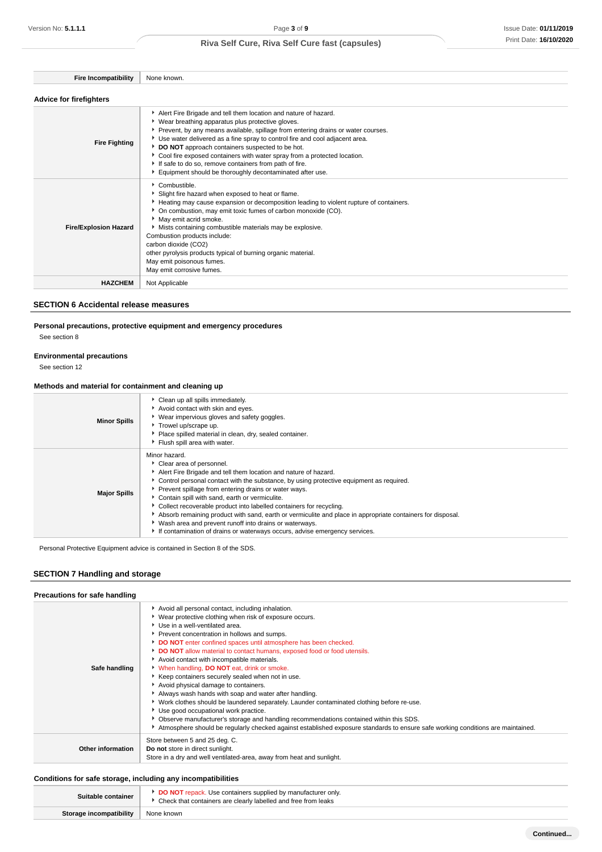| <b>Advice for firefighters</b> |                                                                                                                                                                                                                                                                                                                                                                                                                                                                                                                                                     |  |
|--------------------------------|-----------------------------------------------------------------------------------------------------------------------------------------------------------------------------------------------------------------------------------------------------------------------------------------------------------------------------------------------------------------------------------------------------------------------------------------------------------------------------------------------------------------------------------------------------|--|
| <b>Fire Fighting</b>           | Alert Fire Brigade and tell them location and nature of hazard.<br>• Wear breathing apparatus plus protective gloves.<br>• Prevent, by any means available, spillage from entering drains or water courses.<br>▶ Use water delivered as a fine spray to control fire and cool adjacent area.<br>DO NOT approach containers suspected to be hot.<br>• Cool fire exposed containers with water spray from a protected location.<br>If safe to do so, remove containers from path of fire.<br>Equipment should be thoroughly decontaminated after use. |  |
| <b>Fire/Explosion Hazard</b>   | $\cdot$ Combustible.<br>Slight fire hazard when exposed to heat or flame.<br>► Heating may cause expansion or decomposition leading to violent rupture of containers.<br>• On combustion, may emit toxic fumes of carbon monoxide (CO).<br>May emit acrid smoke.<br>• Mists containing combustible materials may be explosive.<br>Combustion products include:                                                                                                                                                                                      |  |

Combustion products include: carbon dioxide (CO2) other pyrolysis products typical of burning organic material. May emit poisonous fumes. May emit corrosive fumes. **HAZCHEM** Not Applicable

## **SECTION 6 Accidental release measures**

### **Personal precautions, protective equipment and emergency procedures**

See section 8

### **Environmental precautions**

See section 12

### **Methods and material for containment and cleaning up**

**Fire Incompatibility** None known.

| <b>Minor Spills</b> | Clean up all spills immediately.<br>Avoid contact with skin and eyes.<br>▶ Wear impervious gloves and safety goggles.<br>Trowel up/scrape up.<br>Place spilled material in clean, dry, sealed container.<br>Flush spill area with water.                                                                                                                                                                                                                                                                                                                                                                                                             |
|---------------------|------------------------------------------------------------------------------------------------------------------------------------------------------------------------------------------------------------------------------------------------------------------------------------------------------------------------------------------------------------------------------------------------------------------------------------------------------------------------------------------------------------------------------------------------------------------------------------------------------------------------------------------------------|
| <b>Major Spills</b> | Minor hazard.<br>Clear area of personnel.<br>Alert Fire Brigade and tell them location and nature of hazard.<br>▶ Control personal contact with the substance, by using protective equipment as required.<br>Prevent spillage from entering drains or water ways.<br>Contain spill with sand, earth or vermiculite.<br>▶ Collect recoverable product into labelled containers for recycling.<br>Absorb remaining product with sand, earth or vermiculite and place in appropriate containers for disposal.<br>• Wash area and prevent runoff into drains or waterways.<br>If contamination of drains or waterways occurs, advise emergency services. |

Personal Protective Equipment advice is contained in Section 8 of the SDS.

## **SECTION 7 Handling and storage**

| Precautions for safe handling |                                                                                                                                                                                                                                                                                                                                                                                                                                                                                                                                                                                                                                                                                                                                                                                                                                                                                                                                                                       |
|-------------------------------|-----------------------------------------------------------------------------------------------------------------------------------------------------------------------------------------------------------------------------------------------------------------------------------------------------------------------------------------------------------------------------------------------------------------------------------------------------------------------------------------------------------------------------------------------------------------------------------------------------------------------------------------------------------------------------------------------------------------------------------------------------------------------------------------------------------------------------------------------------------------------------------------------------------------------------------------------------------------------|
| Safe handling                 | Avoid all personal contact, including inhalation.<br>▶ Wear protective clothing when risk of exposure occurs.<br>Use in a well-ventilated area.<br>Prevent concentration in hollows and sumps.<br>DO NOT enter confined spaces until atmosphere has been checked.<br>DO NOT allow material to contact humans, exposed food or food utensils.<br>Avoid contact with incompatible materials.<br>* When handling, DO NOT eat, drink or smoke.<br>Keep containers securely sealed when not in use.<br>Avoid physical damage to containers.<br>Always wash hands with soap and water after handling.<br>▶ Work clothes should be laundered separately. Launder contaminated clothing before re-use.<br>Use good occupational work practice.<br>• Observe manufacturer's storage and handling recommendations contained within this SDS.<br>Atmosphere should be regularly checked against established exposure standards to ensure safe working conditions are maintained. |
| <b>Other information</b>      | Store between 5 and 25 deg. C.<br>Do not store in direct sunlight.<br>Store in a dry and well ventilated-area, away from heat and sunlight.                                                                                                                                                                                                                                                                                                                                                                                                                                                                                                                                                                                                                                                                                                                                                                                                                           |

## **Conditions for safe storage, including any incompatibilities**

L

| Suitable container      | <b>DO NOT</b> repack. Use containers supplied by manufacturer only.<br>▶ Check that containers are clearly labelled and free from leaks |  |
|-------------------------|-----------------------------------------------------------------------------------------------------------------------------------------|--|
| Storage incompatibility | None known                                                                                                                              |  |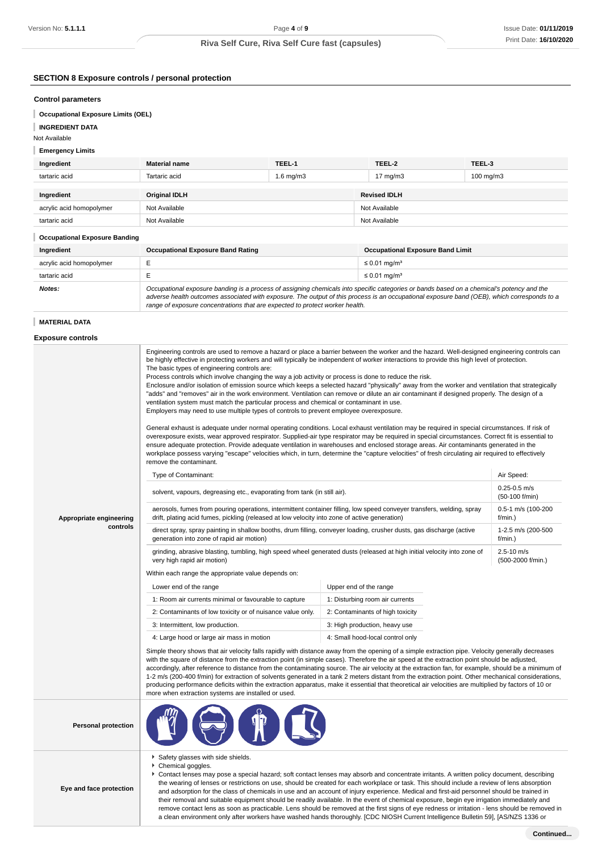## **SECTION 8 Exposure controls / personal protection**

### **Control parameters**

**Occupational Exposure Limits (OEL)**

## **INGREDIENT DATA**

Not Available

### **Emergency Limits**

| Ingredient                           | <b>Material name</b> | TEEL-1         | TEEL-2              | TEEL-3    |
|--------------------------------------|----------------------|----------------|---------------------|-----------|
| tartaric acid                        | Tartaric acid        | $1.6$ mg/m $3$ | 17 $mg/m3$          | 100 mg/m3 |
|                                      |                      |                |                     |           |
| Ingredient                           | <b>Original IDLH</b> |                | <b>Revised IDLH</b> |           |
| acrylic acid homopolymer             | Not Available        |                | Not Available       |           |
| tartaric acid                        | Not Available        |                | Not Available       |           |
| <b>Occupational Exposure Banding</b> |                      |                |                     |           |

| Ingredient               | <b>Occupational Exposure Band Rating</b><br><b>Occupational Exposure Band Limit</b>                                                                                                                                                                                                                                                                                      |                               |
|--------------------------|--------------------------------------------------------------------------------------------------------------------------------------------------------------------------------------------------------------------------------------------------------------------------------------------------------------------------------------------------------------------------|-------------------------------|
| acrylic acid homopolymer |                                                                                                                                                                                                                                                                                                                                                                          | $\leq$ 0.01 mg/m <sup>3</sup> |
| tartaric acid            |                                                                                                                                                                                                                                                                                                                                                                          | $\leq$ 0.01 mg/m <sup>3</sup> |
| Notes:                   | Occupational exposure banding is a process of assigning chemicals into specific categories or bands based on a chemical's potency and the<br>adverse health outcomes associated with exposure. The output of this process is an occupational exposure band (OEB), which corresponds to a<br>range of exposure concentrations that are expected to protect worker health. |                               |

### **MATERIAL DATA**

| <b>Exposure controls</b> |  |
|--------------------------|--|
|--------------------------|--|

|                            | Engineering controls are used to remove a hazard or place a barrier between the worker and the hazard. Well-designed engineering controls can<br>be highly effective in protecting workers and will typically be independent of worker interactions to provide this high level of protection.<br>The basic types of engineering controls are:<br>Process controls which involve changing the way a job activity or process is done to reduce the risk.<br>Enclosure and/or isolation of emission source which keeps a selected hazard "physically" away from the worker and ventilation that strategically<br>"adds" and "removes" air in the work environment. Ventilation can remove or dilute an air contaminant if designed properly. The design of a<br>ventilation system must match the particular process and chemical or contaminant in use.<br>Employers may need to use multiple types of controls to prevent employee overexposure.<br>General exhaust is adequate under normal operating conditions. Local exhaust ventilation may be required in special circumstances. If risk of<br>overexposure exists, wear approved respirator. Supplied-air type respirator may be required in special circumstances. Correct fit is essential to<br>ensure adequate protection. Provide adequate ventilation in warehouses and enclosed storage areas. Air contaminants generated in the<br>workplace possess varying "escape" velocities which, in turn, determine the "capture velocities" of fresh circulating air required to effectively<br>remove the contaminant. |                                                                                                                                                                                                                                                                                                                                                                                                                                                                                                                                                                                                                                                                                                                                       |                                                    |  |
|----------------------------|-------------------------------------------------------------------------------------------------------------------------------------------------------------------------------------------------------------------------------------------------------------------------------------------------------------------------------------------------------------------------------------------------------------------------------------------------------------------------------------------------------------------------------------------------------------------------------------------------------------------------------------------------------------------------------------------------------------------------------------------------------------------------------------------------------------------------------------------------------------------------------------------------------------------------------------------------------------------------------------------------------------------------------------------------------------------------------------------------------------------------------------------------------------------------------------------------------------------------------------------------------------------------------------------------------------------------------------------------------------------------------------------------------------------------------------------------------------------------------------------------------------------------------------------------------------------------------|---------------------------------------------------------------------------------------------------------------------------------------------------------------------------------------------------------------------------------------------------------------------------------------------------------------------------------------------------------------------------------------------------------------------------------------------------------------------------------------------------------------------------------------------------------------------------------------------------------------------------------------------------------------------------------------------------------------------------------------|----------------------------------------------------|--|
|                            | Type of Contaminant:<br>solvent, vapours, degreasing etc., evaporating from tank (in still air).                                                                                                                                                                                                                                                                                                                                                                                                                                                                                                                                                                                                                                                                                                                                                                                                                                                                                                                                                                                                                                                                                                                                                                                                                                                                                                                                                                                                                                                                              |                                                                                                                                                                                                                                                                                                                                                                                                                                                                                                                                                                                                                                                                                                                                       | Air Speed:<br>$0.25 - 0.5$ m/s                     |  |
| Appropriate engineering    | aerosols, fumes from pouring operations, intermittent container filling, low speed conveyer transfers, welding, spray<br>drift, plating acid fumes, pickling (released at low velocity into zone of active generation)                                                                                                                                                                                                                                                                                                                                                                                                                                                                                                                                                                                                                                                                                                                                                                                                                                                                                                                                                                                                                                                                                                                                                                                                                                                                                                                                                        |                                                                                                                                                                                                                                                                                                                                                                                                                                                                                                                                                                                                                                                                                                                                       | (50-100 f/min)<br>0.5-1 m/s (100-200<br>$f/min.$ ) |  |
| controls                   | direct spray, spray painting in shallow booths, drum filling, conveyer loading, crusher dusts, gas discharge (active<br>generation into zone of rapid air motion)                                                                                                                                                                                                                                                                                                                                                                                                                                                                                                                                                                                                                                                                                                                                                                                                                                                                                                                                                                                                                                                                                                                                                                                                                                                                                                                                                                                                             |                                                                                                                                                                                                                                                                                                                                                                                                                                                                                                                                                                                                                                                                                                                                       | 1-2.5 m/s (200-500<br>f/min.)                      |  |
|                            | grinding, abrasive blasting, tumbling, high speed wheel generated dusts (released at high initial velocity into zone of<br>very high rapid air motion)                                                                                                                                                                                                                                                                                                                                                                                                                                                                                                                                                                                                                                                                                                                                                                                                                                                                                                                                                                                                                                                                                                                                                                                                                                                                                                                                                                                                                        |                                                                                                                                                                                                                                                                                                                                                                                                                                                                                                                                                                                                                                                                                                                                       | $2.5 - 10$ m/s<br>(500-2000 f/min.)                |  |
|                            | Within each range the appropriate value depends on:                                                                                                                                                                                                                                                                                                                                                                                                                                                                                                                                                                                                                                                                                                                                                                                                                                                                                                                                                                                                                                                                                                                                                                                                                                                                                                                                                                                                                                                                                                                           |                                                                                                                                                                                                                                                                                                                                                                                                                                                                                                                                                                                                                                                                                                                                       |                                                    |  |
|                            | Lower end of the range                                                                                                                                                                                                                                                                                                                                                                                                                                                                                                                                                                                                                                                                                                                                                                                                                                                                                                                                                                                                                                                                                                                                                                                                                                                                                                                                                                                                                                                                                                                                                        | Upper end of the range                                                                                                                                                                                                                                                                                                                                                                                                                                                                                                                                                                                                                                                                                                                |                                                    |  |
|                            | 1: Room air currents minimal or favourable to capture                                                                                                                                                                                                                                                                                                                                                                                                                                                                                                                                                                                                                                                                                                                                                                                                                                                                                                                                                                                                                                                                                                                                                                                                                                                                                                                                                                                                                                                                                                                         | 1: Disturbing room air currents                                                                                                                                                                                                                                                                                                                                                                                                                                                                                                                                                                                                                                                                                                       |                                                    |  |
|                            | 2: Contaminants of low toxicity or of nuisance value only.                                                                                                                                                                                                                                                                                                                                                                                                                                                                                                                                                                                                                                                                                                                                                                                                                                                                                                                                                                                                                                                                                                                                                                                                                                                                                                                                                                                                                                                                                                                    | 2: Contaminants of high toxicity                                                                                                                                                                                                                                                                                                                                                                                                                                                                                                                                                                                                                                                                                                      |                                                    |  |
|                            | 3: Intermittent, low production.                                                                                                                                                                                                                                                                                                                                                                                                                                                                                                                                                                                                                                                                                                                                                                                                                                                                                                                                                                                                                                                                                                                                                                                                                                                                                                                                                                                                                                                                                                                                              | 3: High production, heavy use                                                                                                                                                                                                                                                                                                                                                                                                                                                                                                                                                                                                                                                                                                         |                                                    |  |
|                            | 4: Small hood-local control only<br>4: Large hood or large air mass in motion                                                                                                                                                                                                                                                                                                                                                                                                                                                                                                                                                                                                                                                                                                                                                                                                                                                                                                                                                                                                                                                                                                                                                                                                                                                                                                                                                                                                                                                                                                 |                                                                                                                                                                                                                                                                                                                                                                                                                                                                                                                                                                                                                                                                                                                                       |                                                    |  |
|                            | Simple theory shows that air velocity falls rapidly with distance away from the opening of a simple extraction pipe. Velocity generally decreases<br>with the square of distance from the extraction point (in simple cases). Therefore the air speed at the extraction point should be adjusted,<br>accordingly, after reference to distance from the contaminating source. The air velocity at the extraction fan, for example, should be a minimum of<br>1-2 m/s (200-400 f/min) for extraction of solvents generated in a tank 2 meters distant from the extraction point. Other mechanical considerations,<br>producing performance deficits within the extraction apparatus, make it essential that theoretical air velocities are multiplied by factors of 10 or<br>more when extraction systems are installed or used.                                                                                                                                                                                                                                                                                                                                                                                                                                                                                                                                                                                                                                                                                                                                                |                                                                                                                                                                                                                                                                                                                                                                                                                                                                                                                                                                                                                                                                                                                                       |                                                    |  |
| <b>Personal protection</b> |                                                                                                                                                                                                                                                                                                                                                                                                                                                                                                                                                                                                                                                                                                                                                                                                                                                                                                                                                                                                                                                                                                                                                                                                                                                                                                                                                                                                                                                                                                                                                                               |                                                                                                                                                                                                                                                                                                                                                                                                                                                                                                                                                                                                                                                                                                                                       |                                                    |  |
| Eye and face protection    | Safety glasses with side shields.<br>Chemical goggles.<br>۰,                                                                                                                                                                                                                                                                                                                                                                                                                                                                                                                                                                                                                                                                                                                                                                                                                                                                                                                                                                                                                                                                                                                                                                                                                                                                                                                                                                                                                                                                                                                  | Contact lenses may pose a special hazard; soft contact lenses may absorb and concentrate irritants. A written policy document, describing<br>the wearing of lenses or restrictions on use, should be created for each workplace or task. This should include a review of lens absorption<br>and adsorption for the class of chemicals in use and an account of injury experience. Medical and first-aid personnel should be trained in<br>their removal and suitable equipment should be readily available. In the event of chemical exposure, begin eye irrigation immediately and<br>remove contact lens as soon as practicable. Lens should be removed at the first signs of eye redness or irritation - lens should be removed in |                                                    |  |

a clean environment only after workers have washed hands thoroughly. [CDC NIOSH Current Intelligence Bulletin 59], [AS/NZS 1336 or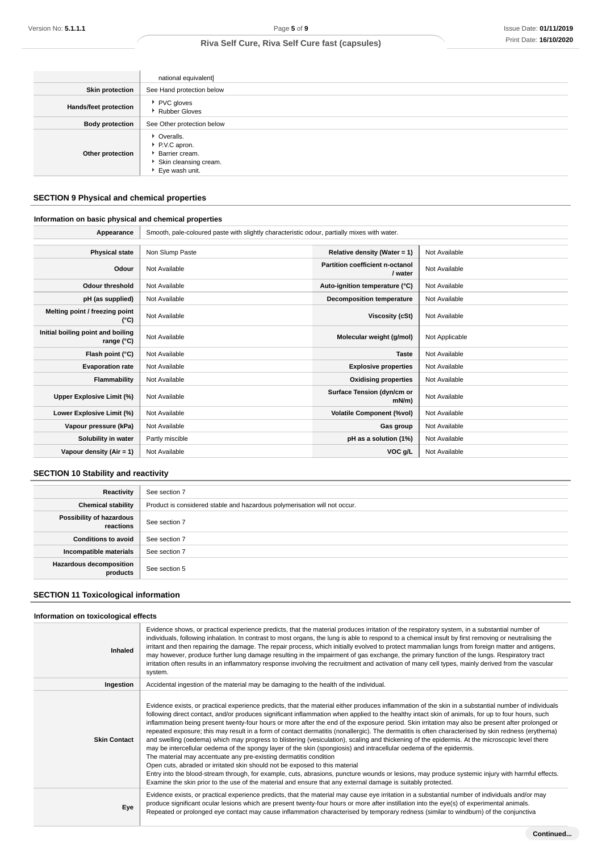|                              | national equivalent]                                                                       |
|------------------------------|--------------------------------------------------------------------------------------------|
| <b>Skin protection</b>       | See Hand protection below                                                                  |
| <b>Hands/feet protection</b> | ▶ PVC gloves<br><b>Rubber Gloves</b>                                                       |
| <b>Body protection</b>       | See Other protection below                                                                 |
| Other protection             | • Overalls.<br>P.V.C apron.<br>Barrier cream.<br>Skin cleansing cream.<br>▶ Eye wash unit. |

## **SECTION 9 Physical and chemical properties**

### **Information on basic physical and chemical properties**

| Appearance                                      | Smooth, pale-coloured paste with slightly characteristic odour, partially mixes with water. |                                            |                |
|-------------------------------------------------|---------------------------------------------------------------------------------------------|--------------------------------------------|----------------|
|                                                 |                                                                                             |                                            |                |
| <b>Physical state</b>                           | Non Slump Paste                                                                             | Relative density (Water = 1)               | Not Available  |
| Odour                                           | Not Available                                                                               | Partition coefficient n-octanol<br>/ water | Not Available  |
| <b>Odour threshold</b>                          | Not Available                                                                               | Auto-ignition temperature (°C)             | Not Available  |
| pH (as supplied)                                | Not Available                                                                               | Decomposition temperature                  | Not Available  |
| Melting point / freezing point<br>(°C)          | Not Available                                                                               | Viscosity (cSt)                            | Not Available  |
| Initial boiling point and boiling<br>range (°C) | Not Available                                                                               | Molecular weight (g/mol)                   | Not Applicable |
| Flash point (°C)                                | Not Available                                                                               | <b>Taste</b>                               | Not Available  |
| <b>Evaporation rate</b>                         | Not Available                                                                               | <b>Explosive properties</b>                | Not Available  |
| Flammability                                    | Not Available                                                                               | <b>Oxidising properties</b>                | Not Available  |
| Upper Explosive Limit (%)                       | Not Available                                                                               | Surface Tension (dyn/cm or<br>$mN/m$ )     | Not Available  |
| Lower Explosive Limit (%)                       | Not Available                                                                               | <b>Volatile Component (%vol)</b>           | Not Available  |
| Vapour pressure (kPa)                           | Not Available                                                                               | Gas group                                  | Not Available  |
| Solubility in water                             | Partly miscible                                                                             | pH as a solution (1%)                      | Not Available  |
| Vapour density $(Air = 1)$                      | Not Available                                                                               | VOC g/L                                    | Not Available  |

## **SECTION 10 Stability and reactivity**

| Reactivity                                 | See section 7                                                             |
|--------------------------------------------|---------------------------------------------------------------------------|
| <b>Chemical stability</b>                  | Product is considered stable and hazardous polymerisation will not occur. |
| Possibility of hazardous<br>reactions      | See section 7                                                             |
| <b>Conditions to avoid</b>                 | See section 7                                                             |
| Incompatible materials                     | See section 7                                                             |
| <b>Hazardous decomposition</b><br>products | See section 5                                                             |

## **SECTION 11 Toxicological information**

### **Information on toxicological effects**

| <b>Inhaled</b>      | Evidence shows, or practical experience predicts, that the material produces irritation of the respiratory system, in a substantial number of<br>individuals, following inhalation. In contrast to most organs, the lung is able to respond to a chemical insult by first removing or neutralising the<br>irritant and then repairing the damage. The repair process, which initially evolved to protect mammalian lungs from foreign matter and antigens,<br>may however, produce further lung damage resulting in the impairment of gas exchange, the primary function of the lungs. Respiratory tract<br>irritation often results in an inflammatory response involving the recruitment and activation of many cell types, mainly derived from the vascular<br>system.                                                                                                                                                                                                                                                                                                                                                                                                                                                                                                                                             |
|---------------------|-----------------------------------------------------------------------------------------------------------------------------------------------------------------------------------------------------------------------------------------------------------------------------------------------------------------------------------------------------------------------------------------------------------------------------------------------------------------------------------------------------------------------------------------------------------------------------------------------------------------------------------------------------------------------------------------------------------------------------------------------------------------------------------------------------------------------------------------------------------------------------------------------------------------------------------------------------------------------------------------------------------------------------------------------------------------------------------------------------------------------------------------------------------------------------------------------------------------------------------------------------------------------------------------------------------------------|
| Ingestion           | Accidental ingestion of the material may be damaging to the health of the individual.                                                                                                                                                                                                                                                                                                                                                                                                                                                                                                                                                                                                                                                                                                                                                                                                                                                                                                                                                                                                                                                                                                                                                                                                                                 |
| <b>Skin Contact</b> | Evidence exists, or practical experience predicts, that the material either produces inflammation of the skin in a substantial number of individuals<br>following direct contact, and/or produces significant inflammation when applied to the healthy intact skin of animals, for up to four hours, such<br>inflammation being present twenty-four hours or more after the end of the exposure period. Skin irritation may also be present after prolonged or<br>repeated exposure; this may result in a form of contact dermatitis (nonallergic). The dermatitis is often characterised by skin redness (erythema)<br>and swelling (oedema) which may progress to blistering (vesiculation), scaling and thickening of the epidermis. At the microscopic level there<br>may be intercellular oedema of the spongy layer of the skin (spongiosis) and intracellular oedema of the epidermis.<br>The material may accentuate any pre-existing dermatitis condition<br>Open cuts, abraded or irritated skin should not be exposed to this material<br>Entry into the blood-stream through, for example, cuts, abrasions, puncture wounds or lesions, may produce systemic injury with harmful effects.<br>Examine the skin prior to the use of the material and ensure that any external damage is suitably protected. |
| Eye                 | Evidence exists, or practical experience predicts, that the material may cause eye irritation in a substantial number of individuals and/or may<br>produce significant ocular lesions which are present twenty-four hours or more after instillation into the eye(s) of experimental animals.<br>Repeated or prolonged eye contact may cause inflammation characterised by temporary redness (similar to windburn) of the conjunctiva                                                                                                                                                                                                                                                                                                                                                                                                                                                                                                                                                                                                                                                                                                                                                                                                                                                                                 |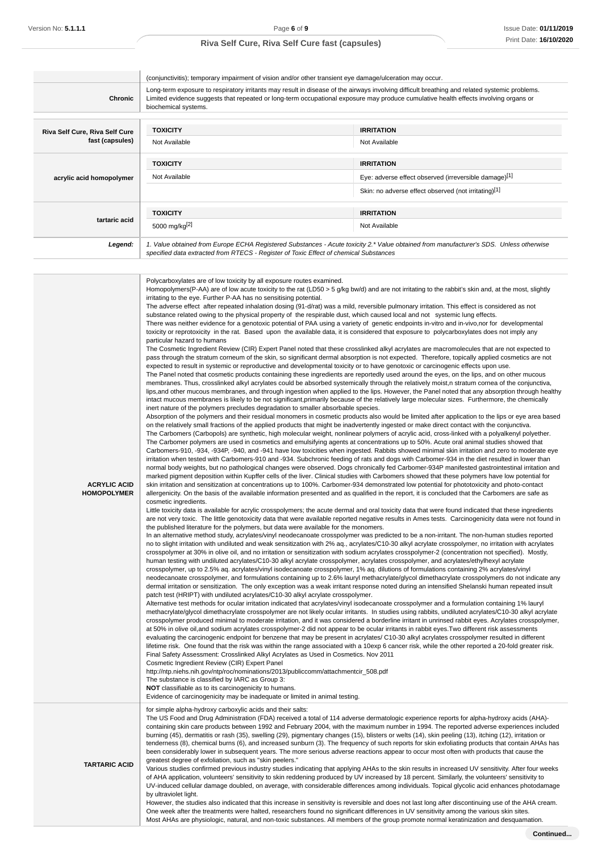|                                                   | (conjunctivitis); temporary impairment of vision and/or other transient eye damage/ulceration may occur.                                                                                                                                                                                                                                                                                                                                                                                                                                                                                                                                                                                                                                                                                                                                                                                                                                                                                                                                                                                                                                                                                                                                                                                                                                                                                                                                                                                                                                                                                                                                                                                                                                                                                                                                                                                                                                                                                                                                                                                                                                                                                                                                                                                                                                                                                                                                                                                                                                                                                                                                                                                                                                                                                                                                                                                                                                                                                                                                                                                                                                                                                                                                                                                                                                                                                                                                                                                                                                                                                                                                                                                                                                                                                                                                                                                                                                                                                                                                                                                                                                                                                                                                                                                                                                                                                                                                                                                                                                                                                                                                                                                                                                                                                                                                                                                                                                                                                                                                                                                                                                                                                                                                                                                                                                                                                                                                                                                                                                                                                                                                                                                                                                                                                                                                                                                                                                                                                                                                                                                                                                                                                                                                                                             |                                                       |  |
|---------------------------------------------------|--------------------------------------------------------------------------------------------------------------------------------------------------------------------------------------------------------------------------------------------------------------------------------------------------------------------------------------------------------------------------------------------------------------------------------------------------------------------------------------------------------------------------------------------------------------------------------------------------------------------------------------------------------------------------------------------------------------------------------------------------------------------------------------------------------------------------------------------------------------------------------------------------------------------------------------------------------------------------------------------------------------------------------------------------------------------------------------------------------------------------------------------------------------------------------------------------------------------------------------------------------------------------------------------------------------------------------------------------------------------------------------------------------------------------------------------------------------------------------------------------------------------------------------------------------------------------------------------------------------------------------------------------------------------------------------------------------------------------------------------------------------------------------------------------------------------------------------------------------------------------------------------------------------------------------------------------------------------------------------------------------------------------------------------------------------------------------------------------------------------------------------------------------------------------------------------------------------------------------------------------------------------------------------------------------------------------------------------------------------------------------------------------------------------------------------------------------------------------------------------------------------------------------------------------------------------------------------------------------------------------------------------------------------------------------------------------------------------------------------------------------------------------------------------------------------------------------------------------------------------------------------------------------------------------------------------------------------------------------------------------------------------------------------------------------------------------------------------------------------------------------------------------------------------------------------------------------------------------------------------------------------------------------------------------------------------------------------------------------------------------------------------------------------------------------------------------------------------------------------------------------------------------------------------------------------------------------------------------------------------------------------------------------------------------------------------------------------------------------------------------------------------------------------------------------------------------------------------------------------------------------------------------------------------------------------------------------------------------------------------------------------------------------------------------------------------------------------------------------------------------------------------------------------------------------------------------------------------------------------------------------------------------------------------------------------------------------------------------------------------------------------------------------------------------------------------------------------------------------------------------------------------------------------------------------------------------------------------------------------------------------------------------------------------------------------------------------------------------------------------------------------------------------------------------------------------------------------------------------------------------------------------------------------------------------------------------------------------------------------------------------------------------------------------------------------------------------------------------------------------------------------------------------------------------------------------------------------------------------------------------------------------------------------------------------------------------------------------------------------------------------------------------------------------------------------------------------------------------------------------------------------------------------------------------------------------------------------------------------------------------------------------------------------------------------------------------------------------------------------------------------------------------------------------------------------------------------------------------------------------------------------------------------------------------------------------------------------------------------------------------------------------------------------------------------------------------------------------------------------------------------------------------------------------------------------------------------------------------------------------------------------------------------------|-------------------------------------------------------|--|
| <b>Chronic</b>                                    | Long-term exposure to respiratory irritants may result in disease of the airways involving difficult breathing and related systemic problems.<br>Limited evidence suggests that repeated or long-term occupational exposure may produce cumulative health effects involving organs or<br>biochemical systems.                                                                                                                                                                                                                                                                                                                                                                                                                                                                                                                                                                                                                                                                                                                                                                                                                                                                                                                                                                                                                                                                                                                                                                                                                                                                                                                                                                                                                                                                                                                                                                                                                                                                                                                                                                                                                                                                                                                                                                                                                                                                                                                                                                                                                                                                                                                                                                                                                                                                                                                                                                                                                                                                                                                                                                                                                                                                                                                                                                                                                                                                                                                                                                                                                                                                                                                                                                                                                                                                                                                                                                                                                                                                                                                                                                                                                                                                                                                                                                                                                                                                                                                                                                                                                                                                                                                                                                                                                                                                                                                                                                                                                                                                                                                                                                                                                                                                                                                                                                                                                                                                                                                                                                                                                                                                                                                                                                                                                                                                                                                                                                                                                                                                                                                                                                                                                                                                                                                                                                        |                                                       |  |
|                                                   | <b>TOXICITY</b>                                                                                                                                                                                                                                                                                                                                                                                                                                                                                                                                                                                                                                                                                                                                                                                                                                                                                                                                                                                                                                                                                                                                                                                                                                                                                                                                                                                                                                                                                                                                                                                                                                                                                                                                                                                                                                                                                                                                                                                                                                                                                                                                                                                                                                                                                                                                                                                                                                                                                                                                                                                                                                                                                                                                                                                                                                                                                                                                                                                                                                                                                                                                                                                                                                                                                                                                                                                                                                                                                                                                                                                                                                                                                                                                                                                                                                                                                                                                                                                                                                                                                                                                                                                                                                                                                                                                                                                                                                                                                                                                                                                                                                                                                                                                                                                                                                                                                                                                                                                                                                                                                                                                                                                                                                                                                                                                                                                                                                                                                                                                                                                                                                                                                                                                                                                                                                                                                                                                                                                                                                                                                                                                                                                                                                                                      | <b>IRRITATION</b>                                     |  |
| Riva Self Cure, Riva Self Cure<br>fast (capsules) | Not Available                                                                                                                                                                                                                                                                                                                                                                                                                                                                                                                                                                                                                                                                                                                                                                                                                                                                                                                                                                                                                                                                                                                                                                                                                                                                                                                                                                                                                                                                                                                                                                                                                                                                                                                                                                                                                                                                                                                                                                                                                                                                                                                                                                                                                                                                                                                                                                                                                                                                                                                                                                                                                                                                                                                                                                                                                                                                                                                                                                                                                                                                                                                                                                                                                                                                                                                                                                                                                                                                                                                                                                                                                                                                                                                                                                                                                                                                                                                                                                                                                                                                                                                                                                                                                                                                                                                                                                                                                                                                                                                                                                                                                                                                                                                                                                                                                                                                                                                                                                                                                                                                                                                                                                                                                                                                                                                                                                                                                                                                                                                                                                                                                                                                                                                                                                                                                                                                                                                                                                                                                                                                                                                                                                                                                                                                        | Not Available                                         |  |
|                                                   | <b>TOXICITY</b>                                                                                                                                                                                                                                                                                                                                                                                                                                                                                                                                                                                                                                                                                                                                                                                                                                                                                                                                                                                                                                                                                                                                                                                                                                                                                                                                                                                                                                                                                                                                                                                                                                                                                                                                                                                                                                                                                                                                                                                                                                                                                                                                                                                                                                                                                                                                                                                                                                                                                                                                                                                                                                                                                                                                                                                                                                                                                                                                                                                                                                                                                                                                                                                                                                                                                                                                                                                                                                                                                                                                                                                                                                                                                                                                                                                                                                                                                                                                                                                                                                                                                                                                                                                                                                                                                                                                                                                                                                                                                                                                                                                                                                                                                                                                                                                                                                                                                                                                                                                                                                                                                                                                                                                                                                                                                                                                                                                                                                                                                                                                                                                                                                                                                                                                                                                                                                                                                                                                                                                                                                                                                                                                                                                                                                                                      | <b>IRRITATION</b>                                     |  |
| acrylic acid homopolymer                          | Not Available                                                                                                                                                                                                                                                                                                                                                                                                                                                                                                                                                                                                                                                                                                                                                                                                                                                                                                                                                                                                                                                                                                                                                                                                                                                                                                                                                                                                                                                                                                                                                                                                                                                                                                                                                                                                                                                                                                                                                                                                                                                                                                                                                                                                                                                                                                                                                                                                                                                                                                                                                                                                                                                                                                                                                                                                                                                                                                                                                                                                                                                                                                                                                                                                                                                                                                                                                                                                                                                                                                                                                                                                                                                                                                                                                                                                                                                                                                                                                                                                                                                                                                                                                                                                                                                                                                                                                                                                                                                                                                                                                                                                                                                                                                                                                                                                                                                                                                                                                                                                                                                                                                                                                                                                                                                                                                                                                                                                                                                                                                                                                                                                                                                                                                                                                                                                                                                                                                                                                                                                                                                                                                                                                                                                                                                                        | Eye: adverse effect observed (irreversible damage)[1] |  |
|                                                   |                                                                                                                                                                                                                                                                                                                                                                                                                                                                                                                                                                                                                                                                                                                                                                                                                                                                                                                                                                                                                                                                                                                                                                                                                                                                                                                                                                                                                                                                                                                                                                                                                                                                                                                                                                                                                                                                                                                                                                                                                                                                                                                                                                                                                                                                                                                                                                                                                                                                                                                                                                                                                                                                                                                                                                                                                                                                                                                                                                                                                                                                                                                                                                                                                                                                                                                                                                                                                                                                                                                                                                                                                                                                                                                                                                                                                                                                                                                                                                                                                                                                                                                                                                                                                                                                                                                                                                                                                                                                                                                                                                                                                                                                                                                                                                                                                                                                                                                                                                                                                                                                                                                                                                                                                                                                                                                                                                                                                                                                                                                                                                                                                                                                                                                                                                                                                                                                                                                                                                                                                                                                                                                                                                                                                                                                                      | Skin: no adverse effect observed (not irritating)[1]  |  |
|                                                   | <b>TOXICITY</b>                                                                                                                                                                                                                                                                                                                                                                                                                                                                                                                                                                                                                                                                                                                                                                                                                                                                                                                                                                                                                                                                                                                                                                                                                                                                                                                                                                                                                                                                                                                                                                                                                                                                                                                                                                                                                                                                                                                                                                                                                                                                                                                                                                                                                                                                                                                                                                                                                                                                                                                                                                                                                                                                                                                                                                                                                                                                                                                                                                                                                                                                                                                                                                                                                                                                                                                                                                                                                                                                                                                                                                                                                                                                                                                                                                                                                                                                                                                                                                                                                                                                                                                                                                                                                                                                                                                                                                                                                                                                                                                                                                                                                                                                                                                                                                                                                                                                                                                                                                                                                                                                                                                                                                                                                                                                                                                                                                                                                                                                                                                                                                                                                                                                                                                                                                                                                                                                                                                                                                                                                                                                                                                                                                                                                                                                      | <b>IRRITATION</b>                                     |  |
| tartaric acid                                     | 5000 mg/kg <sup>[2]</sup>                                                                                                                                                                                                                                                                                                                                                                                                                                                                                                                                                                                                                                                                                                                                                                                                                                                                                                                                                                                                                                                                                                                                                                                                                                                                                                                                                                                                                                                                                                                                                                                                                                                                                                                                                                                                                                                                                                                                                                                                                                                                                                                                                                                                                                                                                                                                                                                                                                                                                                                                                                                                                                                                                                                                                                                                                                                                                                                                                                                                                                                                                                                                                                                                                                                                                                                                                                                                                                                                                                                                                                                                                                                                                                                                                                                                                                                                                                                                                                                                                                                                                                                                                                                                                                                                                                                                                                                                                                                                                                                                                                                                                                                                                                                                                                                                                                                                                                                                                                                                                                                                                                                                                                                                                                                                                                                                                                                                                                                                                                                                                                                                                                                                                                                                                                                                                                                                                                                                                                                                                                                                                                                                                                                                                                                            | Not Available                                         |  |
| Legend:                                           |                                                                                                                                                                                                                                                                                                                                                                                                                                                                                                                                                                                                                                                                                                                                                                                                                                                                                                                                                                                                                                                                                                                                                                                                                                                                                                                                                                                                                                                                                                                                                                                                                                                                                                                                                                                                                                                                                                                                                                                                                                                                                                                                                                                                                                                                                                                                                                                                                                                                                                                                                                                                                                                                                                                                                                                                                                                                                                                                                                                                                                                                                                                                                                                                                                                                                                                                                                                                                                                                                                                                                                                                                                                                                                                                                                                                                                                                                                                                                                                                                                                                                                                                                                                                                                                                                                                                                                                                                                                                                                                                                                                                                                                                                                                                                                                                                                                                                                                                                                                                                                                                                                                                                                                                                                                                                                                                                                                                                                                                                                                                                                                                                                                                                                                                                                                                                                                                                                                                                                                                                                                                                                                                                                                                                                                                                      |                                                       |  |
| <b>ACRYLIC ACID</b><br><b>HOMOPOLYMER</b>         | 1. Value obtained from Europe ECHA Registered Substances - Acute toxicity 2.* Value obtained from manufacturer's SDS. Unless otherwise<br>specified data extracted from RTECS - Register of Toxic Effect of chemical Substances<br>Polycarboxylates are of low toxicity by all exposure routes examined.<br>Homopolymers(P-AA) are of low acute toxicity to the rat (LD50 > 5 $g$ /kg bw/d) and are not irritating to the rabbit's skin and, at the most, slightly<br>irritating to the eye. Further P-AA has no sensitising potential.<br>The adverse effect after repeated inhalation dosing (91-d/rat) was a mild, reversible pulmonary irritation. This effect is considered as not<br>substance related owing to the physical property of the respirable dust, which caused local and not systemic lung effects.<br>There was neither evidence for a genotoxic potential of PAA using a variety of genetic endpoints in-vitro and in-vivo, nor for developmental<br>toxicity or reprotoxicity in the rat. Based upon the available data, it is considered that exposure to polycarboxylates does not imply any<br>particular hazard to humans<br>The Cosmetic Ingredient Review (CIR) Expert Panel noted that these crosslinked alkyl acrylates are macromolecules that are not expected to<br>pass through the stratum corneum of the skin, so significant dermal absorption is not expected. Therefore, topically applied cosmetics are not<br>expected to result in systemic or reproductive and developmental toxicity or to have genotoxic or carcinogenic effects upon use.<br>The Panel noted that cosmetic products containing these ingredients are reportedly used around the eyes, on the lips, and on other mucous<br>membranes. Thus, crosslinked alkyl acrylates could be absorbed systemically through the relatively moist,n stratum cornea of the conjunctiva,<br>lips, and other mucous membranes, and through ingestion when applied to the lips. However, the Panel noted that any absorption through healthy<br>intact mucous membranes is likely to be not significant, primarily because of the relatively large molecular sizes. Furthermore, the chemically<br>inert nature of the polymers precludes degradation to smaller absorbable species.<br>Absorption of the polymers and their residual monomers in cosmetic products also would be limited after application to the lips or eye area based<br>on the relatively small fractions of the applied products that might be inadvertently ingested or make direct contact with the conjunctiva.<br>The Carbomers (Carbopols) are synthetic, high molecular weight, nonlinear polymers of acrylic acid, cross-linked with a polyalkenyl polyether.<br>The Carbomer polymers are used in cosmetics and emulsifying agents at concentrations up to 50%. Acute oral animal studies showed that<br>Carbomers-910, -934, -934P, -940, and -941 have low toxicities when ingested. Rabbits showed minimal skin irritation and zero to moderate eye<br>irritation when tested with Carbomers-910 and -934. Subchronic feeding of rats and dogs with Carbomer-934 in the diet resulted in lower than<br>normal body weights, but no pathological changes were observed. Dogs chronically fed Carbomer-934P manifested gastrointestinal irritation and<br>marked pigment deposition within Kupffer cells of the liver. Clinical studies with Carbomers showed that these polymers have low potential for<br>skin irritation and sensitization at concentrations up to 100%. Carbomer-934 demonstrated low potential for phototoxicity and photo-contact<br>allergenicity. On the basis of the available information presented and as qualified in the report, it is concluded that the Carbomers are safe as<br>cosmetic ingredients.<br>Little toxicity data is available for acrylic crosspolymers; the acute dermal and oral toxicity data that were found indicated that these ingredients<br>are not very toxic. The little genotoxicity data that were available reported negative results in Ames tests. Carcinogenicity data were not found in<br>the published literature for the polymers, but data were available for the monomers.<br>In an alternative method study, acrylates/vinyl neodecanoate crosspolymer was predicted to be a non-irritant. The non-human studies reported<br>no to slight irritation with undiluted and weak sensitization with 2% aq., acrylates/C10-30 alkyl acrylate crosspolymer, no irritation with acrylates<br>crosspolymer at 30% in olive oil, and no irritation or sensitization with sodium acrylates crosspolymer-2 (concentration not specified). Mostly,<br>human testing with undiluted acrylates/C10-30 alkyl acrylate crosspolymer, acrylates crosspolymer, and acrylates/ethylhexyl acrylate<br>crosspolymer, up to 2.5% aq. acrylates/vinyl isodecanoate crosspolymer, 1% aq. dilutions of formulations containing 2% acrylates/vinyl<br>neodecanoate crosspolymer, and formulations containing up to 2.6% lauryl methacrylate/glycol dimethacrylate crosspolymers do not indicate any<br>dermal irritation or sensitization. The only exception was a weak irritant response noted during an intensified Shelanski human repeated insult<br>patch test (HRIPT) with undiluted acrylates/C10-30 alkyl acrylate crosspolymer.<br>Alternative test methods for ocular irritation indicated that acrylates/vinyl isodecanoate crosspolymer and a formulation containing 1% lauryl<br>methacrylate/glycol dimethacrylate crosspolymer are not likely ocular irritants. In studies using rabbits, undiluted acrylates/C10-30 alkyl acrylate<br>crosspolymer produced minimal to moderate irritation, and it was considered a borderline irritant in unrinsed rabbit eyes. Acrylates crosspolymer,<br>at 50% in olive oil, and sodium acrylates crosspolymer-2 did not appear to be ocular irritants in rabbit eyes. Two different risk assessments<br>evaluating the carcinogenic endpoint for benzene that may be present in acrylates/C10-30 alkyl acrylates crosspolymer resulted in different<br>lifetime risk. One found that the risk was within the range associated with a 10exp 6 cancer risk, while the other reported a 20-fold greater risk. |                                                       |  |

http://ntp.niehs.nih.gov/ntp/roc/nominations/2013/publiccomm/attachmentcir\_508.pdf

The substance is classified by IARC as Group 3:

**NOT** classifiable as to its carcinogenicity to humans. Evidence of carcinogenicity may be inadequate or limited in animal testing.

for simple alpha-hydroxy carboxylic acids and their salts:

The US Food and Drug Administration (FDA) received a total of 114 adverse dermatologic experience reports for alpha-hydroxy acids (AHA) containing skin care products between 1992 and February 2004, with the maximum number in 1994. The reported adverse experiences included burning (45), dermatitis or rash (35), swelling (29), pigmentary changes (15), blisters or welts (14), skin peeling (13), itching (12), irritation or tenderness (8), chemical burns (6), and increased sunburn (3). The frequency of such reports for skin exfoliating products that contain AHAs has been considerably lower in subsequent years. The more serious adverse reactions appear to occur most often with products that cause the greatest degree of exfoliation, such as "skin peelers."

**TARTARIC ACID**

Various studies confirmed previous industry studies indicating that applying AHAs to the skin results in increased UV sensitivity. After four weeks of AHA application, volunteers' sensitivity to skin reddening produced by UV increased by 18 percent. Similarly, the volunteers' sensitivity to UV-induced cellular damage doubled, on average, with considerable differences among individuals. Topical glycolic acid enhances photodamage by ultraviolet light.

However, the studies also indicated that this increase in sensitivity is reversible and does not last long after discontinuing use of the AHA cream. One week after the treatments were halted, researchers found no significant differences in UV sensitivity among the various skin sites. Most AHAs are physiologic, natural, and non-toxic substances. All members of the group promote normal keratinization and desquamation.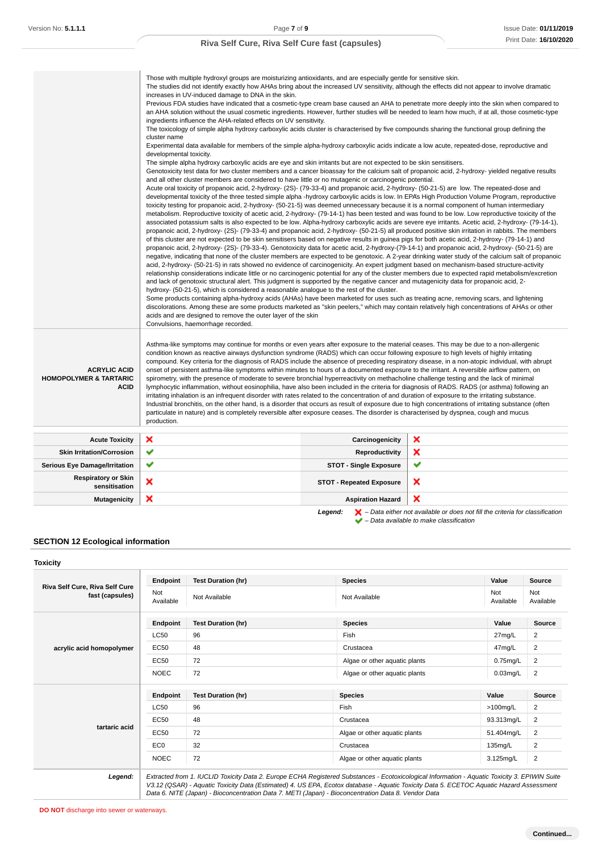| Convulsions, haemorrhage recorded.                                                                                                                                                                                                                                                                                                                                                                                                                                                                                                                                                                                                                                                                                                                                                                                                                                                                                                                                                                                                                                                                                                                                                                                                                                                                                                            |                                 |                                                                                                                                                                                                                                                                                                                                                                                                                                                                                                                                        |
|-----------------------------------------------------------------------------------------------------------------------------------------------------------------------------------------------------------------------------------------------------------------------------------------------------------------------------------------------------------------------------------------------------------------------------------------------------------------------------------------------------------------------------------------------------------------------------------------------------------------------------------------------------------------------------------------------------------------------------------------------------------------------------------------------------------------------------------------------------------------------------------------------------------------------------------------------------------------------------------------------------------------------------------------------------------------------------------------------------------------------------------------------------------------------------------------------------------------------------------------------------------------------------------------------------------------------------------------------|---------------------------------|----------------------------------------------------------------------------------------------------------------------------------------------------------------------------------------------------------------------------------------------------------------------------------------------------------------------------------------------------------------------------------------------------------------------------------------------------------------------------------------------------------------------------------------|
| Asthma-like symptoms may continue for months or even years after exposure to the material ceases. This may be due to a non-allergenic<br>condition known as reactive airways dysfunction syndrome (RADS) which can occur following exposure to high levels of highly irritating<br>compound. Key criteria for the diagnosis of RADS include the absence of preceding respiratory disease, in a non-atopic individual, with abrupt<br>onset of persistent asthma-like symptoms within minutes to hours of a documented exposure to the irritant. A reversible airflow pattern, on<br>spirometry, with the presence of moderate to severe bronchial hyperreactivity on methacholine challenge testing and the lack of minimal<br>lymphocytic inflammation, without eosinophilia, have also been included in the criteria for diagnosis of RADS. RADS (or asthma) following an<br>irritating inhalation is an infrequent disorder with rates related to the concentration of and duration of exposure to the irritating substance.<br>Industrial bronchitis, on the other hand, is a disorder that occurs as result of exposure due to high concentrations of irritating substance (often<br>particulate in nature) and is completely reversible after exposure ceases. The disorder is characterised by dyspnea, cough and mucus<br>production. |                                 |                                                                                                                                                                                                                                                                                                                                                                                                                                                                                                                                        |
|                                                                                                                                                                                                                                                                                                                                                                                                                                                                                                                                                                                                                                                                                                                                                                                                                                                                                                                                                                                                                                                                                                                                                                                                                                                                                                                                               | Carcinogenicity                 | ×                                                                                                                                                                                                                                                                                                                                                                                                                                                                                                                                      |
|                                                                                                                                                                                                                                                                                                                                                                                                                                                                                                                                                                                                                                                                                                                                                                                                                                                                                                                                                                                                                                                                                                                                                                                                                                                                                                                                               | <b>Reproductivity</b>           | ×                                                                                                                                                                                                                                                                                                                                                                                                                                                                                                                                      |
|                                                                                                                                                                                                                                                                                                                                                                                                                                                                                                                                                                                                                                                                                                                                                                                                                                                                                                                                                                                                                                                                                                                                                                                                                                                                                                                                               | <b>STOT - Single Exposure</b>   | ✔                                                                                                                                                                                                                                                                                                                                                                                                                                                                                                                                      |
|                                                                                                                                                                                                                                                                                                                                                                                                                                                                                                                                                                                                                                                                                                                                                                                                                                                                                                                                                                                                                                                                                                                                                                                                                                                                                                                                               | <b>STOT - Repeated Exposure</b> | ×                                                                                                                                                                                                                                                                                                                                                                                                                                                                                                                                      |
|                                                                                                                                                                                                                                                                                                                                                                                                                                                                                                                                                                                                                                                                                                                                                                                                                                                                                                                                                                                                                                                                                                                                                                                                                                                                                                                                               | <b>Aspiration Hazard</b>        | ×                                                                                                                                                                                                                                                                                                                                                                                                                                                                                                                                      |
|                                                                                                                                                                                                                                                                                                                                                                                                                                                                                                                                                                                                                                                                                                                                                                                                                                                                                                                                                                                                                                                                                                                                                                                                                                                                                                                                               |                                 | Some products containing alpha-hydroxy acids (AHAs) have been marketed for uses such as treating acne, removing scars, and lightening<br>discolorations. Among these are some products marketed as "skin peelers," which may contain relatively high concentrations of AHAs or other<br>acids and are designed to remove the outer layer of the skin<br>$\blacktriangleright$ – Data either not available or does not fill the criteria for classification<br>Legend:<br>$\blacktriangleright$ - Data available to make classification |

#### **SECTION 12 Ecological information**

### **Toxicity Riva Self Cure, Riva Self Cure fast (capsules) Endpoint Test Duration (hr) Species Value Source** Not<br>Available Not Not Available Not Available Not Available Not Available Not Available Not Ava<br>Available Ava Available Not Available **acrylic acid homopolymer Endpoint Test Duration (hr) Species Value Source**  $\begin{array}{|c|c|c|c|c|}\n \hline\n \text{LC50} & 96 & \text{Fish} & \text{Fish} & \text{27mg/L} & \text{2} \\
\hline\n \end{array}$ EC50 48 Crustacea Crustacea 47mg/L 2 EC50 72 Algae or other aquatic plants 0.75mg/L 2 NOEC 72 Algae or other aquatic plants 0.03mg/L 2 **tartaric acid Endpoint Test Duration (hr) Species Value Source**  $\sim$  LC50  $\mid$  96  $\mid$  2 EC50 48 Crustacea Crustacea 93.313mg/L 2 EC50 72 Algae or other aquatic plants 51.404mg/L 2 EC0 32 Crustacea Crustacea 135mg/L 2 NOEC 72 Algae or other aquatic plants 3.125mg/L 2 **Legend:** Extracted from 1. IUCLID Toxicity Data 2. Europe ECHA Registered Substances - Ecotoxicological Information - Aquatic Toxicity 3. EPIWIN Suite

V3.12 (QSAR) - Aquatic Toxicity Data (Estimated) 4. US EPA, Ecotox database - Aquatic Toxicity Data 5. ECETOC Aquatic Hazard Assessment Data 6. NITE (Japan) - Bioconcentration Data 7. METI (Japan) - Bioconcentration Data 8. Vendor Data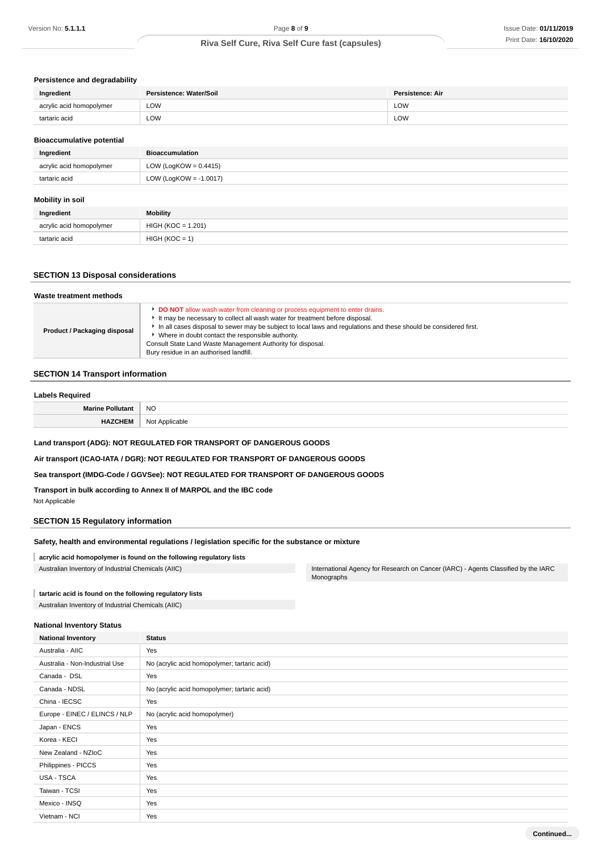### **Persistence and degradability**

| Ingredient               | Persistence: Water/Soil | Persistence: Air     |  |
|--------------------------|-------------------------|----------------------|--|
| acrylic acid homopolymer | LOW                     | <b>LOW</b><br>$\sim$ |  |
| tartaric acid            | LOW                     | ∟OW                  |  |

### **Bioaccumulative potential**

| <b>Bioaccumulation</b>    |
|---------------------------|
| LOW (LogKOW = $0.4415$ )  |
| LOW (LogKOW = $-1.0017$ ) |
|                           |
|                           |

### **Mobility in soil**

| Ingredient               | <b>Mobility</b>      |
|--------------------------|----------------------|
| acrylic acid homopolymer | $HIGH (KOC = 1.201)$ |
| tartaric acid            | $HIGH (KOC = 1)$     |

### **SECTION 13 Disposal considerations**

| Waste treatment methods      |                                                                                                                                                                                                                                                                                                                                                                                                                                                 |
|------------------------------|-------------------------------------------------------------------------------------------------------------------------------------------------------------------------------------------------------------------------------------------------------------------------------------------------------------------------------------------------------------------------------------------------------------------------------------------------|
| Product / Packaging disposal | DO NOT allow wash water from cleaning or process equipment to enter drains.<br>It may be necessary to collect all wash water for treatment before disposal.<br>In all cases disposal to sewer may be subject to local laws and regulations and these should be considered first.<br>Where in doubt contact the responsible authority.<br>Consult State Land Waste Management Authority for disposal.<br>Bury residue in an authorised landfill. |

### **SECTION 14 Transport information**

### **Labels Required**

| Marine Polli<br>tan | <b>NO</b>      |  |
|---------------------|----------------|--|
| <b>HAZCHEM</b>      | Not Applicable |  |

### **Land transport (ADG): NOT REGULATED FOR TRANSPORT OF DANGEROUS GOODS**

**Air transport (ICAO-IATA / DGR): NOT REGULATED FOR TRANSPORT OF DANGEROUS GOODS**

### **Sea transport (IMDG-Code / GGVSee): NOT REGULATED FOR TRANSPORT OF DANGEROUS GOODS**

### **Transport in bulk according to Annex II of MARPOL and the IBC code**

Not Applicable

### **SECTION 15 Regulatory information**

### **Safety, health and environmental regulations / legislation specific for the substance or mixture**

### **acrylic acid homopolymer is found on the following regulatory lists**

Australian Inventory of Industrial Chemicals (AIIC) **International Agency for Research on Cancer (IARC)** - Agents Classified by the IARC

### **tartaric acid is found on the following regulatory lists**

Australian Inventory of Industrial Chemicals (AIIC)

### **National Inventory Status**

| <b>National Inventory</b>      | <b>Status</b>                                |  |
|--------------------------------|----------------------------------------------|--|
| Australia - AIIC               | Yes                                          |  |
| Australia - Non-Industrial Use | No (acrylic acid homopolymer; tartaric acid) |  |
| Canada - DSL                   | Yes                                          |  |
| Canada - NDSL                  | No (acrylic acid homopolymer; tartaric acid) |  |
| China - IECSC                  | Yes                                          |  |
| Europe - EINEC / ELINCS / NLP  | No (acrylic acid homopolymer)                |  |
| Japan - ENCS                   | Yes                                          |  |
| Korea - KECI                   | Yes                                          |  |
| New Zealand - NZIoC            | Yes                                          |  |
| Philippines - PICCS            | Yes                                          |  |
| <b>USA - TSCA</b>              | Yes                                          |  |
| Taiwan - TCSI                  | Yes                                          |  |
| Mexico - INSQ                  | Yes                                          |  |
| Vietnam - NCI                  | Yes                                          |  |

Monographs